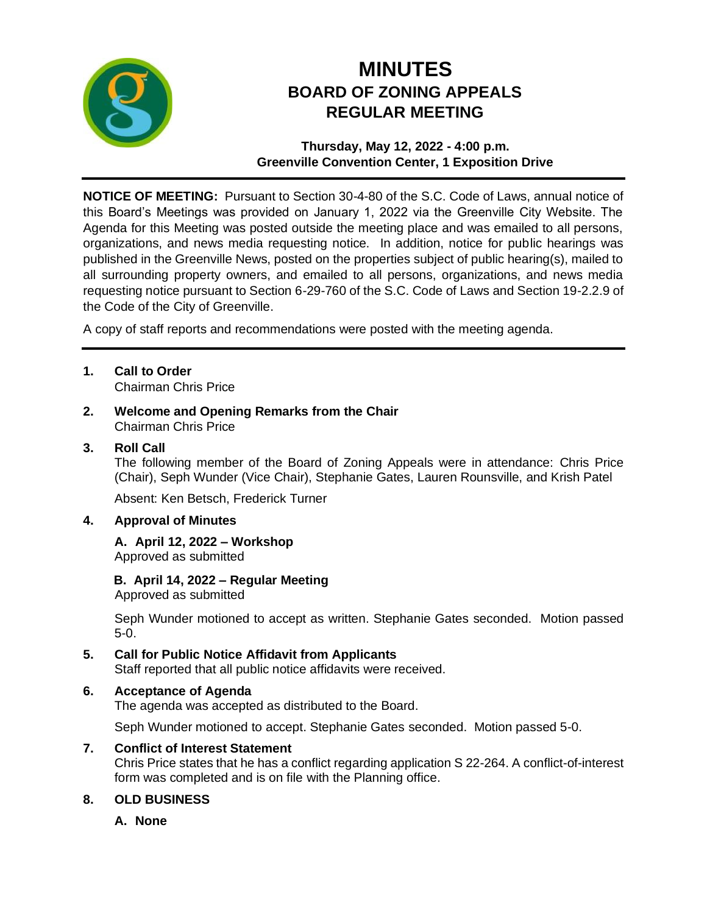

# **MINUTES BOARD OF ZONING APPEALS REGULAR MEETING**

**Thursday, May 12, 2022 - 4:00 p.m. Greenville Convention Center, 1 Exposition Drive**

**NOTICE OF MEETING:** Pursuant to Section 30-4-80 of the S.C. Code of Laws, annual notice of this Board's Meetings was provided on January 1, 2022 via the Greenville City Website. The Agenda for this Meeting was posted outside the meeting place and was emailed to all persons, organizations, and news media requesting notice. In addition, notice for public hearings was published in the Greenville News, posted on the properties subject of public hearing(s), mailed to all surrounding property owners, and emailed to all persons, organizations, and news media requesting notice pursuant to Section 6-29-760 of the S.C. Code of Laws and Section 19-2.2.9 of the Code of the City of Greenville.

A copy of staff reports and recommendations were posted with the meeting agenda.

- **1. Call to Order** Chairman Chris Price
- **2. Welcome and Opening Remarks from the Chair** Chairman Chris Price

# **3. Roll Call**

The following member of the Board of Zoning Appeals were in attendance: Chris Price (Chair), Seph Wunder (Vice Chair), Stephanie Gates, Lauren Rounsville, and Krish Patel

Absent: Ken Betsch, Frederick Turner

#### **4. Approval of Minutes**

# **A. April 12, 2022 – Workshop**

Approved as submitted

#### **B. April 14, 2022 – Regular Meeting**

Approved as submitted

Seph Wunder motioned to accept as written. Stephanie Gates seconded. Motion passed 5-0.

# **5. Call for Public Notice Affidavit from Applicants**

Staff reported that all public notice affidavits were received.

#### **6. Acceptance of Agenda**

The agenda was accepted as distributed to the Board.

Seph Wunder motioned to accept. Stephanie Gates seconded. Motion passed 5-0.

#### **7. Conflict of Interest Statement**

Chris Price states that he has a conflict regarding application S 22-264. A conflict-of-interest form was completed and is on file with the Planning office.

# **8. OLD BUSINESS**

**A. None**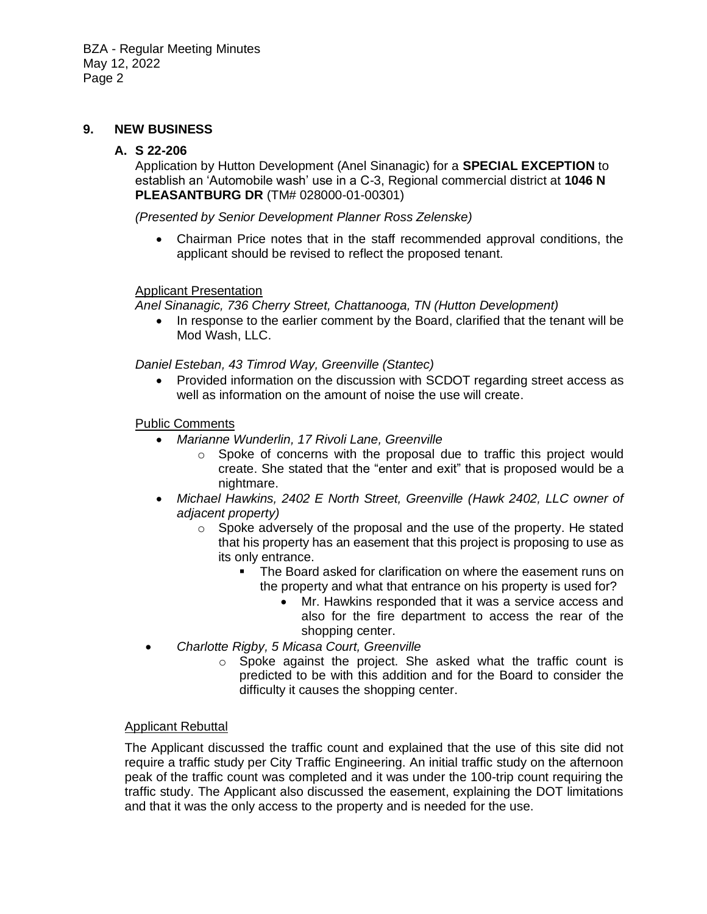#### **9. NEW BUSINESS**

#### **A. S 22-206**

Application by Hutton Development (Anel Sinanagic) for a **SPECIAL EXCEPTION** to establish an 'Automobile wash' use in a C-3, Regional commercial district at **1046 N PLEASANTBURG DR** (TM# 028000-01-00301)

*(Presented by Senior Development Planner Ross Zelenske)*

• Chairman Price notes that in the staff recommended approval conditions, the applicant should be revised to reflect the proposed tenant.

#### Applicant Presentation

*Anel Sinanagic, 736 Cherry Street, Chattanooga, TN (Hutton Development)*

• In response to the earlier comment by the Board, clarified that the tenant will be Mod Wash, LLC.

*Daniel Esteban, 43 Timrod Way, Greenville (Stantec)*

• Provided information on the discussion with SCDOT regarding street access as well as information on the amount of noise the use will create.

#### Public Comments

- *Marianne Wunderlin, 17 Rivoli Lane, Greenville*
	- o Spoke of concerns with the proposal due to traffic this project would create. She stated that the "enter and exit" that is proposed would be a nightmare.
- *Michael Hawkins, 2402 E North Street, Greenville (Hawk 2402, LLC owner of adjacent property)*
	- o Spoke adversely of the proposal and the use of the property. He stated that his property has an easement that this project is proposing to use as its only entrance.
		- The Board asked for clarification on where the easement runs on the property and what that entrance on his property is used for?
			- Mr. Hawkins responded that it was a service access and also for the fire department to access the rear of the shopping center.
- *Charlotte Rigby, 5 Micasa Court, Greenville*
	- o Spoke against the project. She asked what the traffic count is predicted to be with this addition and for the Board to consider the difficulty it causes the shopping center.

#### Applicant Rebuttal

The Applicant discussed the traffic count and explained that the use of this site did not require a traffic study per City Traffic Engineering. An initial traffic study on the afternoon peak of the traffic count was completed and it was under the 100-trip count requiring the traffic study. The Applicant also discussed the easement, explaining the DOT limitations and that it was the only access to the property and is needed for the use.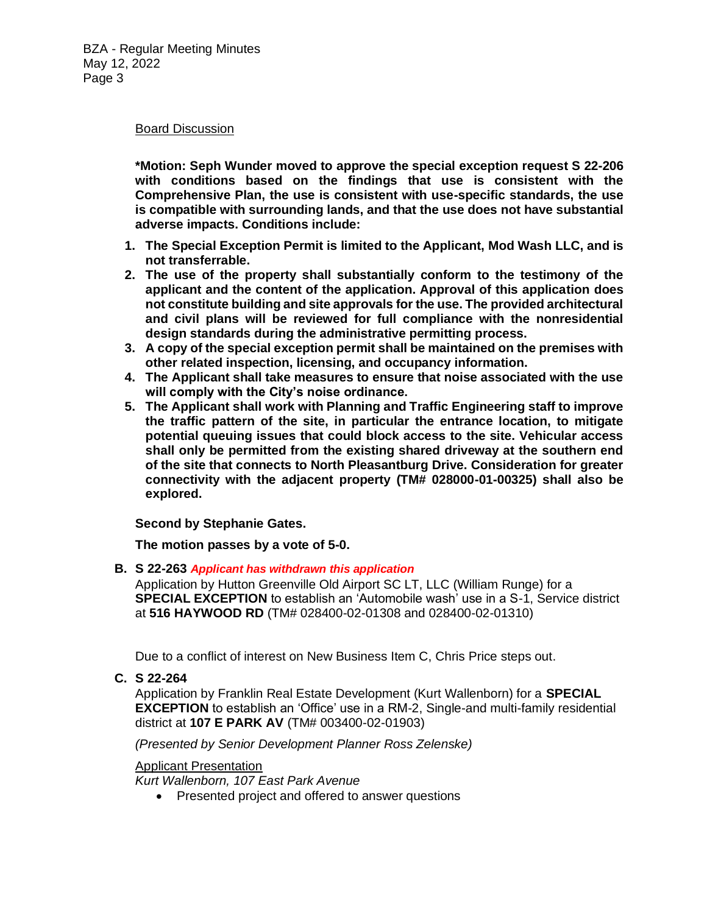#### Board Discussion

**\*Motion: Seph Wunder moved to approve the special exception request S 22-206 with conditions based on the findings that use is consistent with the Comprehensive Plan, the use is consistent with use-specific standards, the use is compatible with surrounding lands, and that the use does not have substantial adverse impacts. Conditions include:** 

- **1. The Special Exception Permit is limited to the Applicant, Mod Wash LLC, and is not transferrable.**
- **2. The use of the property shall substantially conform to the testimony of the applicant and the content of the application. Approval of this application does not constitute building and site approvals for the use. The provided architectural and civil plans will be reviewed for full compliance with the nonresidential design standards during the administrative permitting process.**
- **3. A copy of the special exception permit shall be maintained on the premises with other related inspection, licensing, and occupancy information.**
- **4. The Applicant shall take measures to ensure that noise associated with the use will comply with the City's noise ordinance.**
- **5. The Applicant shall work with Planning and Traffic Engineering staff to improve the traffic pattern of the site, in particular the entrance location, to mitigate potential queuing issues that could block access to the site. Vehicular access shall only be permitted from the existing shared driveway at the southern end of the site that connects to North Pleasantburg Drive. Consideration for greater connectivity with the adjacent property (TM# 028000-01-00325) shall also be explored.**

**Second by Stephanie Gates.**

**The motion passes by a vote of 5-0.**

**B. S 22-263** *Applicant has withdrawn this application*

Application by Hutton Greenville Old Airport SC LT, LLC (William Runge) for a **SPECIAL EXCEPTION** to establish an 'Automobile wash' use in a S-1, Service district at **516 HAYWOOD RD** (TM# 028400-02-01308 and 028400-02-01310)

Due to a conflict of interest on New Business Item C, Chris Price steps out.

**C. S 22-264**

Application by Franklin Real Estate Development (Kurt Wallenborn) for a **SPECIAL EXCEPTION** to establish an 'Office' use in a RM-2, Single-and multi-family residential district at **107 E PARK AV** (TM# 003400-02-01903)

*(Presented by Senior Development Planner Ross Zelenske)*

Applicant Presentation

*Kurt Wallenborn, 107 East Park Avenue*

• Presented project and offered to answer questions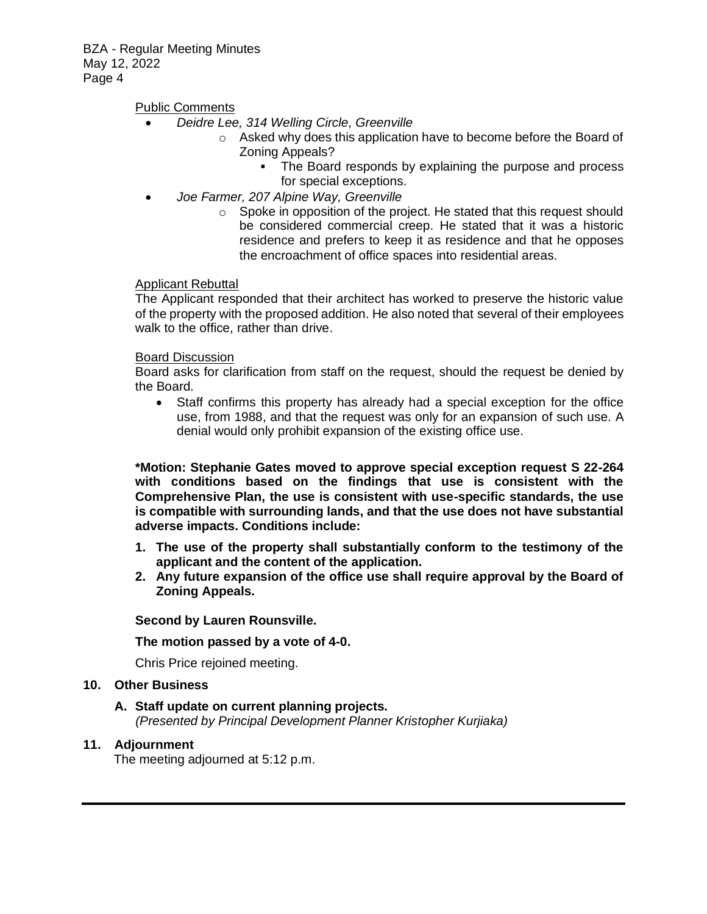BZA - Regular Meeting Minutes May 12, 2022 Page 4

Public Comments

- *Deidre Lee, 314 Welling Circle, Greenville*
	- o Asked why does this application have to become before the Board of Zoning Appeals?
		- The Board responds by explaining the purpose and process for special exceptions.
- *Joe Farmer, 207 Alpine Way, Greenville*
	- o Spoke in opposition of the project. He stated that this request should be considered commercial creep. He stated that it was a historic residence and prefers to keep it as residence and that he opposes the encroachment of office spaces into residential areas.

#### Applicant Rebuttal

The Applicant responded that their architect has worked to preserve the historic value of the property with the proposed addition. He also noted that several of their employees walk to the office, rather than drive.

#### Board Discussion

Board asks for clarification from staff on the request, should the request be denied by the Board.

• Staff confirms this property has already had a special exception for the office use, from 1988, and that the request was only for an expansion of such use. A denial would only prohibit expansion of the existing office use.

**\*Motion: Stephanie Gates moved to approve special exception request S 22-264 with conditions based on the findings that use is consistent with the Comprehensive Plan, the use is consistent with use-specific standards, the use is compatible with surrounding lands, and that the use does not have substantial adverse impacts. Conditions include:** 

- **1. The use of the property shall substantially conform to the testimony of the applicant and the content of the application.**
- **2. Any future expansion of the office use shall require approval by the Board of Zoning Appeals.**

#### **Second by Lauren Rounsville.**

#### **The motion passed by a vote of 4-0.**

Chris Price rejoined meeting.

#### **10. Other Business**

#### **A. Staff update on current planning projects.**

*(Presented by Principal Development Planner Kristopher Kurjiaka)*

#### **11. Adjournment**

The meeting adjourned at 5:12 p.m.